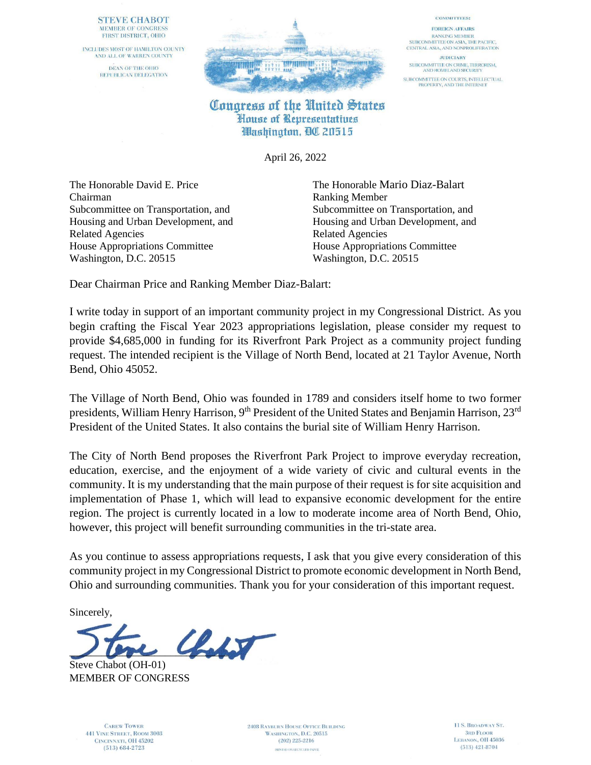## **STEVE CHABOT** MEMBER OF CONGRESS FIRST DISTRICT, OHIO

INCLUDES MOST OF HAMILTON COUNTY AND ALL OF WARREN COUNTY DEAN OF THE OHIO REPUBLICAN DELEGATION



## Congress of the United States House of Representatives **Washington, QC 20515**

April 26, 2022

The Honorable David E. Price The Honorable Mario Diaz-Balart Chairman Ranking Member Related Agencies Related Agencies House Appropriations Committee House Appropriations Committee Washington, D.C. 20515 Washington, D.C. 20515

Subcommittee on Transportation, and Subcommittee on Transportation, and Housing and Urban Development, and Housing and Urban Development, and

**COMMITTEES:** 

FOREIGN AFFAIRS

**RANKING MEMBER** SUBCOMMITTEE ON ASIA, THE PACIFIC. CENTRAL ASIA, AND NONPROLIFERATION

**JUDICIARY** 

SUBCOMMITTEE ON CRIME, TERRORISM,<br>AND HOMELAND SECURITY

SUBCOMMITTEE ON COURTS, INTELLECTUAL<br>PROPERTY, AND THE INTERNET

Dear Chairman Price and Ranking Member Diaz-Balart:

I write today in support of an important community project in my Congressional District. As you begin crafting the Fiscal Year 2023 appropriations legislation, please consider my request to provide \$4,685,000 in funding for its Riverfront Park Project as a community project funding request. The intended recipient is the Village of North Bend, located at 21 Taylor Avenue, North Bend, Ohio 45052.

The Village of North Bend, Ohio was founded in 1789 and considers itself home to two former presidents, William Henry Harrison, 9<sup>th</sup> President of the United States and Benjamin Harrison, 23<sup>rd</sup> President of the United States. It also contains the burial site of William Henry Harrison.

The City of North Bend proposes the Riverfront Park Project to improve everyday recreation, education, exercise, and the enjoyment of a wide variety of civic and cultural events in the community. It is my understanding that the main purpose of their request is for site acquisition and implementation of Phase 1, which will lead to expansive economic development for the entire region. The project is currently located in a low to moderate income area of North Bend, Ohio, however, this project will benefit surrounding communities in the tri-state area.

As you continue to assess appropriations requests, I ask that you give every consideration of this community project in my Congressional District to promote economic development in North Bend, Ohio and surrounding communities. Thank you for your consideration of this important request.

Sincerely,

 $\mathcal{L}_{\mathcal{A}}$ 

Steve Chabot (OH-01) MEMBER OF CONGRESS

**CAREW TOWER 441 VINE STREET, ROOM 3003** CINCINNATI, OH 45202  $(513) 684 - 2723$ 

**2408 RAYBURN HOUSE OFFICE BUILDING** WASHINGTON, D.C. 20515  $(202)$  225-2216 PRINTED ON RECYCLED PAPER.

11 S. BROADWAY ST. **3RD FLOOR** LEBANON, OH 45036  $(513)$  421-8704